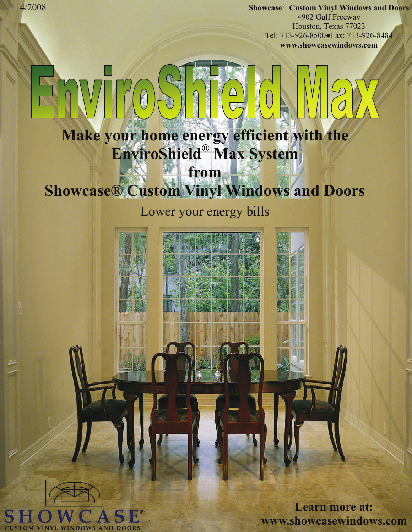**Showcase**® **Custom Vinyl Windows and Doors** 4902 Gulf Freeway Houston, Texas 77023 Tel: 713-926-8500●Fax: 713-926-8484 **www.showcasewindows.com** 

# **Make your home energy efficient with the EnviroShield® Max System from**

# **Showcase® Custom Vinyl Windows and Doors**

### Lower your energy bills



**Learn more at: www.showcasewindows.com**